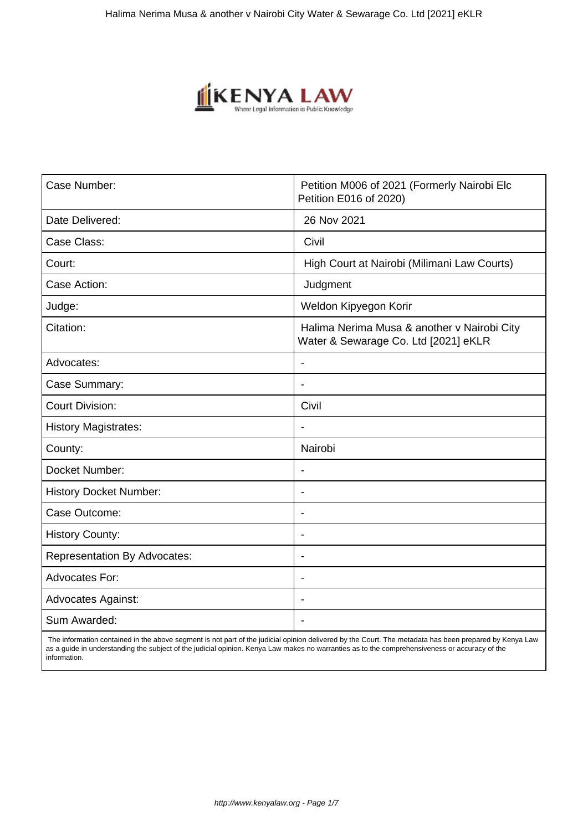

| Case Number:                        | Petition M006 of 2021 (Formerly Nairobi Elc<br>Petition E016 of 2020)               |
|-------------------------------------|-------------------------------------------------------------------------------------|
| Date Delivered:                     | 26 Nov 2021                                                                         |
| Case Class:                         | Civil                                                                               |
| Court:                              | High Court at Nairobi (Milimani Law Courts)                                         |
| Case Action:                        | Judgment                                                                            |
| Judge:                              | Weldon Kipyegon Korir                                                               |
| Citation:                           | Halima Nerima Musa & another v Nairobi City<br>Water & Sewarage Co. Ltd [2021] eKLR |
| Advocates:                          | $\blacksquare$                                                                      |
| Case Summary:                       | $\blacksquare$                                                                      |
| <b>Court Division:</b>              | Civil                                                                               |
| <b>History Magistrates:</b>         |                                                                                     |
| County:                             | Nairobi                                                                             |
| Docket Number:                      | Ĭ.                                                                                  |
| <b>History Docket Number:</b>       |                                                                                     |
| Case Outcome:                       | $\blacksquare$                                                                      |
| <b>History County:</b>              |                                                                                     |
| <b>Representation By Advocates:</b> | $\blacksquare$                                                                      |
| <b>Advocates For:</b>               | $\blacksquare$                                                                      |
| <b>Advocates Against:</b>           |                                                                                     |
| Sum Awarded:                        |                                                                                     |

 The information contained in the above segment is not part of the judicial opinion delivered by the Court. The metadata has been prepared by Kenya Law as a guide in understanding the subject of the judicial opinion. Kenya Law makes no warranties as to the comprehensiveness or accuracy of the information.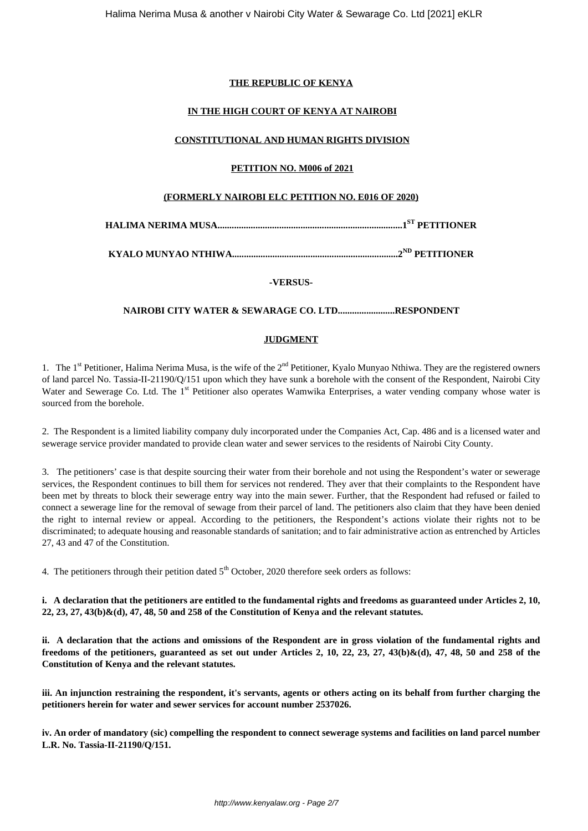## **THE REPUBLIC OF KENYA**

# **IN THE HIGH COURT OF KENYA AT NAIROBI**

## **CONSTITUTIONAL AND HUMAN RIGHTS DIVISION**

## **PETITION NO. M006 of 2021**

## **(FORMERLY NAIROBI ELC PETITION NO. E016 OF 2020)**

**HALIMA NERIMA MUSA..............................................................................1ST PETITIONER**

**KYALO MUNYAO NTHIWA......................................................................2ND PETITIONER**

**-VERSUS-**

### **NAIROBI CITY WATER & SEWARAGE CO. LTD........................RESPONDENT**

## **JUDGMENT**

1. The 1<sup>st</sup> Petitioner, Halima Nerima Musa, is the wife of the 2<sup>nd</sup> Petitioner, Kyalo Munyao Nthiwa. They are the registered owners of land parcel No. Tassia-II-21190/Q/151 upon which they have sunk a borehole with the consent of the Respondent, Nairobi City Water and Sewerage Co. Ltd. The 1<sup>st</sup> Petitioner also operates Wamwika Enterprises, a water vending company whose water is sourced from the borehole.

2. The Respondent is a limited liability company duly incorporated under the Companies Act, Cap. 486 and is a licensed water and sewerage service provider mandated to provide clean water and sewer services to the residents of Nairobi City County.

3. The petitioners' case is that despite sourcing their water from their borehole and not using the Respondent's water or sewerage services, the Respondent continues to bill them for services not rendered. They aver that their complaints to the Respondent have been met by threats to block their sewerage entry way into the main sewer. Further, that the Respondent had refused or failed to connect a sewerage line for the removal of sewage from their parcel of land. The petitioners also claim that they have been denied the right to internal review or appeal. According to the petitioners, the Respondent's actions violate their rights not to be discriminated; to adequate housing and reasonable standards of sanitation; and to fair administrative action as entrenched by Articles 27, 43 and 47 of the Constitution.

4. The petitioners through their petition dated  $5<sup>th</sup>$  October, 2020 therefore seek orders as follows:

**i. A declaration that the petitioners are entitled to the fundamental rights and freedoms as guaranteed under Articles 2, 10, 22, 23, 27, 43(b)&(d), 47, 48, 50 and 258 of the Constitution of Kenya and the relevant statutes.**

**ii. A declaration that the actions and omissions of the Respondent are in gross violation of the fundamental rights and freedoms of the petitioners, guaranteed as set out under Articles 2, 10, 22, 23, 27, 43(b)&(d), 47, 48, 50 and 258 of the Constitution of Kenya and the relevant statutes.**

**iii. An injunction restraining the respondent, it's servants, agents or others acting on its behalf from further charging the petitioners herein for water and sewer services for account number 2537026.**

**iv. An order of mandatory (sic) compelling the respondent to connect sewerage systems and facilities on land parcel number L.R. No. Tassia-II-21190/Q/151.**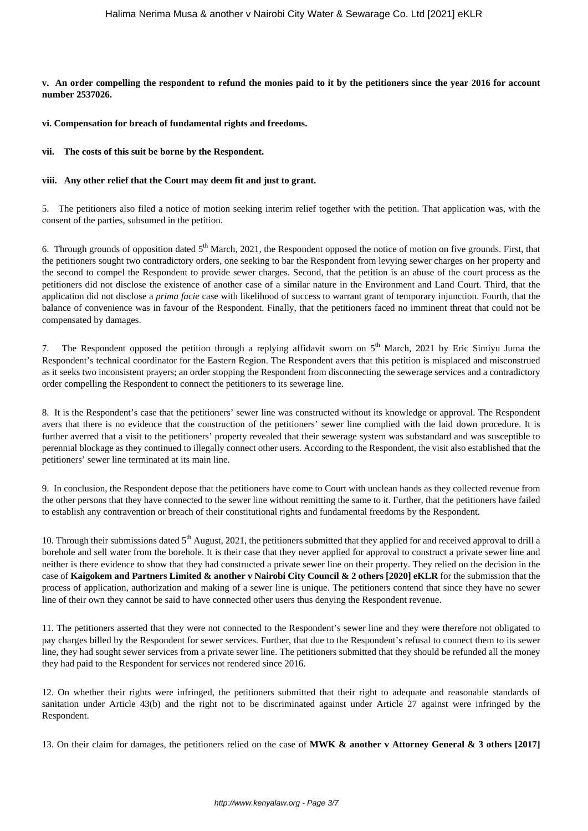**v. An order compelling the respondent to refund the monies paid to it by the petitioners since the year 2016 for account number 2537026.**

**vi. Compensation for breach of fundamental rights and freedoms.**

#### **vii. The costs of this suit be borne by the Respondent.**

#### **viii. Any other relief that the Court may deem fit and just to grant.**

5. The petitioners also filed a notice of motion seeking interim relief together with the petition. That application was, with the consent of the parties, subsumed in the petition.

6. Through grounds of opposition dated  $5<sup>th</sup>$  March, 2021, the Respondent opposed the notice of motion on five grounds. First, that the petitioners sought two contradictory orders, one seeking to bar the Respondent from levying sewer charges on her property and the second to compel the Respondent to provide sewer charges. Second, that the petition is an abuse of the court process as the petitioners did not disclose the existence of another case of a similar nature in the Environment and Land Court. Third, that the application did not disclose a *prima facie* case with likelihood of success to warrant grant of temporary injunction. Fourth, that the balance of convenience was in favour of the Respondent. Finally, that the petitioners faced no imminent threat that could not be compensated by damages.

7. The Respondent opposed the petition through a replying affidavit sworn on  $5<sup>th</sup>$  March, 2021 by Eric Simiyu Juma the Respondent's technical coordinator for the Eastern Region. The Respondent avers that this petition is misplaced and misconstrued as it seeks two inconsistent prayers; an order stopping the Respondent from disconnecting the sewerage services and a contradictory order compelling the Respondent to connect the petitioners to its sewerage line.

8. It is the Respondent's case that the petitioners' sewer line was constructed without its knowledge or approval. The Respondent avers that there is no evidence that the construction of the petitioners' sewer line complied with the laid down procedure. It is further averred that a visit to the petitioners' property revealed that their sewerage system was substandard and was susceptible to perennial blockage as they continued to illegally connect other users. According to the Respondent, the visit also established that the petitioners' sewer line terminated at its main line.

9. In conclusion, the Respondent depose that the petitioners have come to Court with unclean hands as they collected revenue from the other persons that they have connected to the sewer line without remitting the same to it. Further, that the petitioners have failed to establish any contravention or breach of their constitutional rights and fundamental freedoms by the Respondent.

10. Through their submissions dated  $5<sup>th</sup>$  August, 2021, the petitioners submitted that they applied for and received approval to drill a borehole and sell water from the borehole. It is their case that they never applied for approval to construct a private sewer line and neither is there evidence to show that they had constructed a private sewer line on their property. They relied on the decision in the case of **Kaigokem and Partners Limited & another v Nairobi City Council & 2 others [2020] eKLR** for the submission that the process of application, authorization and making of a sewer line is unique. The petitioners contend that since they have no sewer line of their own they cannot be said to have connected other users thus denying the Respondent revenue.

11. The petitioners asserted that they were not connected to the Respondent's sewer line and they were therefore not obligated to pay charges billed by the Respondent for sewer services. Further, that due to the Respondent's refusal to connect them to its sewer line, they had sought sewer services from a private sewer line. The petitioners submitted that they should be refunded all the money they had paid to the Respondent for services not rendered since 2016.

12. On whether their rights were infringed, the petitioners submitted that their right to adequate and reasonable standards of sanitation under Article 43(b) and the right not to be discriminated against under Article 27 against were infringed by the Respondent.

13. On their claim for damages, the petitioners relied on the case of **MWK & another v Attorney General & 3 others [2017]**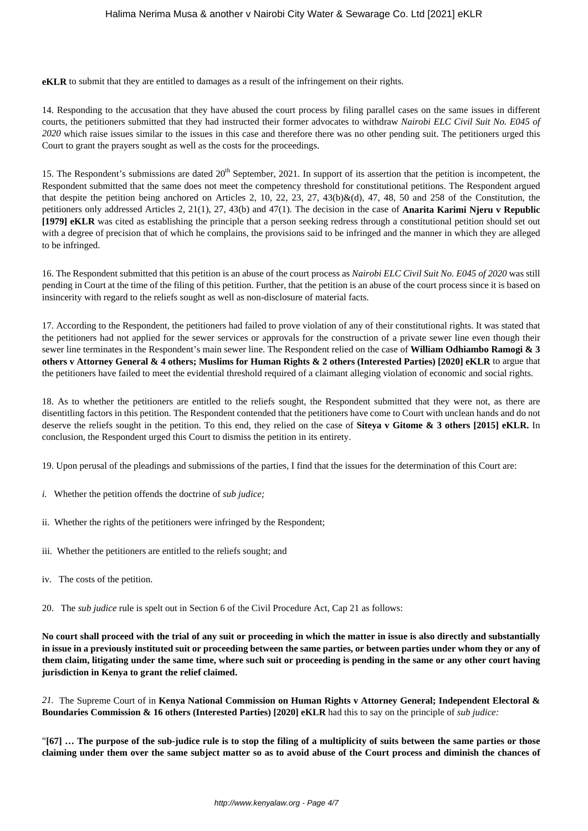**eKLR** to submit that they are entitled to damages as a result of the infringement on their rights.

14. Responding to the accusation that they have abused the court process by filing parallel cases on the same issues in different courts, the petitioners submitted that they had instructed their former advocates to withdraw *Nairobi ELC Civil Suit No. E045 of 2020* which raise issues similar to the issues in this case and therefore there was no other pending suit. The petitioners urged this Court to grant the prayers sought as well as the costs for the proceedings.

15. The Respondent's submissions are dated  $20<sup>th</sup>$  September, 2021. In support of its assertion that the petition is incompetent, the Respondent submitted that the same does not meet the competency threshold for constitutional petitions. The Respondent argued that despite the petition being anchored on Articles 2, 10, 22, 23, 27, 43(b)&(d), 47, 48, 50 and 258 of the Constitution, the petitioners only addressed Articles 2, 21(1), 27, 43(b) and 47(1). The decision in the case of **Anarita Karimi Njeru v Republic [1979] eKLR** was cited as establishing the principle that a person seeking redress through a constitutional petition should set out with a degree of precision that of which he complains, the provisions said to be infringed and the manner in which they are alleged to be infringed.

16. The Respondent submitted that this petition is an abuse of the court process as *Nairobi ELC Civil Suit No. E045 of 2020* was still pending in Court at the time of the filing of this petition. Further, that the petition is an abuse of the court process since it is based on insincerity with regard to the reliefs sought as well as non-disclosure of material facts.

17. According to the Respondent, the petitioners had failed to prove violation of any of their constitutional rights. It was stated that the petitioners had not applied for the sewer services or approvals for the construction of a private sewer line even though their sewer line terminates in the Respondent's main sewer line. The Respondent relied on the case of **William Odhiambo Ramogi & 3 others v Attorney General & 4 others; Muslims for Human Rights & 2 others (Interested Parties) [2020] eKLR** to argue that the petitioners have failed to meet the evidential threshold required of a claimant alleging violation of economic and social rights.

18. As to whether the petitioners are entitled to the reliefs sought, the Respondent submitted that they were not, as there are disentitling factors in this petition. The Respondent contended that the petitioners have come to Court with unclean hands and do not deserve the reliefs sought in the petition. To this end, they relied on the case of **Siteya v Gitome & 3 others [2015] eKLR.** In conclusion, the Respondent urged this Court to dismiss the petition in its entirety.

19. Upon perusal of the pleadings and submissions of the parties, I find that the issues for the determination of this Court are:

- *i.* Whether the petition offends the doctrine of *sub judice;*
- ii. Whether the rights of the petitioners were infringed by the Respondent;
- iii. Whether the petitioners are entitled to the reliefs sought; and
- iv. The costs of the petition.

20. The *sub judice* rule is spelt out in Section 6 of the Civil Procedure Act, Cap 21 as follows:

**No court shall proceed with the trial of any suit or proceeding in which the matter in issue is also directly and substantially in issue in a previously instituted suit or proceeding between the same parties, or between parties under whom they or any of them claim, litigating under the same time, where such suit or proceeding is pending in the same or any other court having jurisdiction in Kenya to grant the relief claimed.**

*21.* The Supreme Court of in **Kenya National Commission on Human Rights v Attorney General; Independent Electoral & Boundaries Commission & 16 others (Interested Parties) [2020] eKLR** had this to say on the principle of *sub judice:*

"**[67] … The purpose of the sub-judice rule is to stop the filing of a multiplicity of suits between the same parties or those claiming under them over the same subject matter so as to avoid abuse of the Court process and diminish the chances of**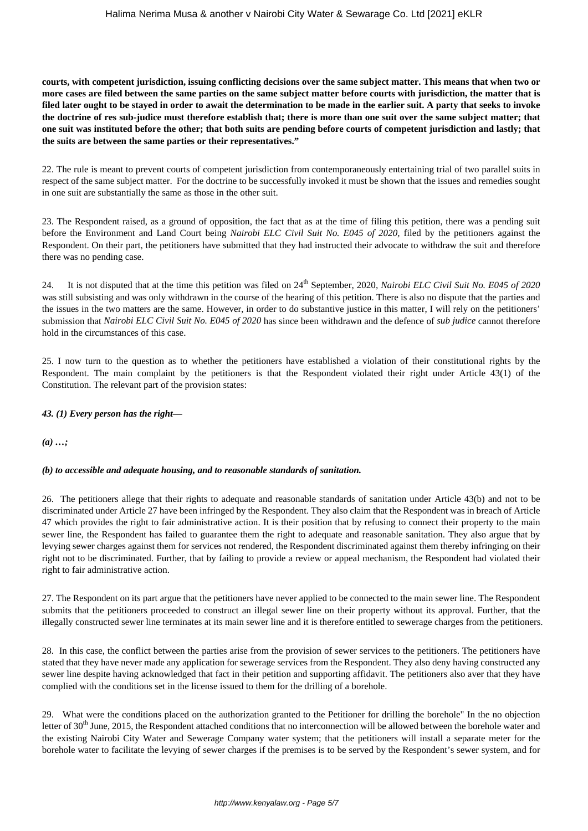**courts, with competent jurisdiction, issuing conflicting decisions over the same subject matter. This means that when two or more cases are filed between the same parties on the same subject matter before courts with jurisdiction, the matter that is filed later ought to be stayed in order to await the determination to be made in the earlier suit. A party that seeks to invoke the doctrine of res sub-judice must therefore establish that; there is more than one suit over the same subject matter; that one suit was instituted before the other; that both suits are pending before courts of competent jurisdiction and lastly; that the suits are between the same parties or their representatives."** 

22. The rule is meant to prevent courts of competent jurisdiction from contemporaneously entertaining trial of two parallel suits in respect of the same subject matter. For the doctrine to be successfully invoked it must be shown that the issues and remedies sought in one suit are substantially the same as those in the other suit.

23. The Respondent raised, as a ground of opposition, the fact that as at the time of filing this petition, there was a pending suit before the Environment and Land Court being *Nairobi ELC Civil Suit No. E045 of 2020,* filed by the petitioners against the Respondent. On their part, the petitioners have submitted that they had instructed their advocate to withdraw the suit and therefore there was no pending case.

24. It is not disputed that at the time this petition was filed on 24th September, 2020*, Nairobi ELC Civil Suit No. E045 of 2020* was still subsisting and was only withdrawn in the course of the hearing of this petition. There is also no dispute that the parties and the issues in the two matters are the same. However, in order to do substantive justice in this matter, I will rely on the petitioners' submission that *Nairobi ELC Civil Suit No. E045 of 2020* has since been withdrawn and the defence of *sub judice* cannot therefore hold in the circumstances of this case.

25. I now turn to the question as to whether the petitioners have established a violation of their constitutional rights by the Respondent. The main complaint by the petitioners is that the Respondent violated their right under Article 43(1) of the Constitution. The relevant part of the provision states:

## *43. (1) Every person has the right—*

*(a) …;*

# *(b) to accessible and adequate housing, and to reasonable standards of sanitation.*

26. The petitioners allege that their rights to adequate and reasonable standards of sanitation under Article 43(b) and not to be discriminated under Article 27 have been infringed by the Respondent. They also claim that the Respondent was in breach of Article 47 which provides the right to fair administrative action. It is their position that by refusing to connect their property to the main sewer line, the Respondent has failed to guarantee them the right to adequate and reasonable sanitation. They also argue that by levying sewer charges against them for services not rendered, the Respondent discriminated against them thereby infringing on their right not to be discriminated. Further, that by failing to provide a review or appeal mechanism, the Respondent had violated their right to fair administrative action.

27. The Respondent on its part argue that the petitioners have never applied to be connected to the main sewer line. The Respondent submits that the petitioners proceeded to construct an illegal sewer line on their property without its approval. Further, that the illegally constructed sewer line terminates at its main sewer line and it is therefore entitled to sewerage charges from the petitioners.

28. In this case, the conflict between the parties arise from the provision of sewer services to the petitioners. The petitioners have stated that they have never made any application for sewerage services from the Respondent. They also deny having constructed any sewer line despite having acknowledged that fact in their petition and supporting affidavit. The petitioners also aver that they have complied with the conditions set in the license issued to them for the drilling of a borehole.

29. What were the conditions placed on the authorization granted to the Petitioner for drilling the borehole" In the no objection letter of 30<sup>th</sup> June, 2015, the Respondent attached conditions that no interconnection will be allowed between the borehole water and the existing Nairobi City Water and Sewerage Company water system; that the petitioners will install a separate meter for the borehole water to facilitate the levying of sewer charges if the premises is to be served by the Respondent's sewer system, and for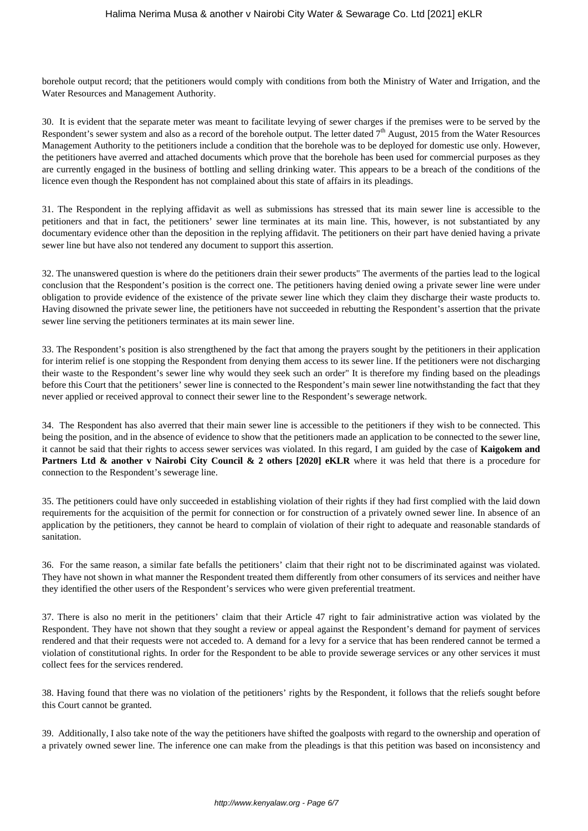borehole output record; that the petitioners would comply with conditions from both the Ministry of Water and Irrigation, and the Water Resources and Management Authority.

30. It is evident that the separate meter was meant to facilitate levying of sewer charges if the premises were to be served by the Respondent's sewer system and also as a record of the borehole output. The letter dated  $7<sup>th</sup>$  August, 2015 from the Water Resources Management Authority to the petitioners include a condition that the borehole was to be deployed for domestic use only. However, the petitioners have averred and attached documents which prove that the borehole has been used for commercial purposes as they are currently engaged in the business of bottling and selling drinking water. This appears to be a breach of the conditions of the licence even though the Respondent has not complained about this state of affairs in its pleadings.

31. The Respondent in the replying affidavit as well as submissions has stressed that its main sewer line is accessible to the petitioners and that in fact, the petitioners' sewer line terminates at its main line. This, however, is not substantiated by any documentary evidence other than the deposition in the replying affidavit. The petitioners on their part have denied having a private sewer line but have also not tendered any document to support this assertion.

32. The unanswered question is where do the petitioners drain their sewer products" The averments of the parties lead to the logical conclusion that the Respondent's position is the correct one. The petitioners having denied owing a private sewer line were under obligation to provide evidence of the existence of the private sewer line which they claim they discharge their waste products to. Having disowned the private sewer line, the petitioners have not succeeded in rebutting the Respondent's assertion that the private sewer line serving the petitioners terminates at its main sewer line.

33. The Respondent's position is also strengthened by the fact that among the prayers sought by the petitioners in their application for interim relief is one stopping the Respondent from denying them access to its sewer line. If the petitioners were not discharging their waste to the Respondent's sewer line why would they seek such an order" It is therefore my finding based on the pleadings before this Court that the petitioners' sewer line is connected to the Respondent's main sewer line notwithstanding the fact that they never applied or received approval to connect their sewer line to the Respondent's sewerage network.

34. The Respondent has also averred that their main sewer line is accessible to the petitioners if they wish to be connected. This being the position, and in the absence of evidence to show that the petitioners made an application to be connected to the sewer line, it cannot be said that their rights to access sewer services was violated. In this regard, I am guided by the case of **Kaigokem and Partners Ltd & another v Nairobi City Council & 2 others [2020] eKLR** where it was held that there is a procedure for connection to the Respondent's sewerage line.

35. The petitioners could have only succeeded in establishing violation of their rights if they had first complied with the laid down requirements for the acquisition of the permit for connection or for construction of a privately owned sewer line. In absence of an application by the petitioners, they cannot be heard to complain of violation of their right to adequate and reasonable standards of sanitation.

36. For the same reason, a similar fate befalls the petitioners' claim that their right not to be discriminated against was violated. They have not shown in what manner the Respondent treated them differently from other consumers of its services and neither have they identified the other users of the Respondent's services who were given preferential treatment.

37. There is also no merit in the petitioners' claim that their Article 47 right to fair administrative action was violated by the Respondent. They have not shown that they sought a review or appeal against the Respondent's demand for payment of services rendered and that their requests were not acceded to. A demand for a levy for a service that has been rendered cannot be termed a violation of constitutional rights. In order for the Respondent to be able to provide sewerage services or any other services it must collect fees for the services rendered.

38. Having found that there was no violation of the petitioners' rights by the Respondent, it follows that the reliefs sought before this Court cannot be granted.

39. Additionally, I also take note of the way the petitioners have shifted the goalposts with regard to the ownership and operation of a privately owned sewer line. The inference one can make from the pleadings is that this petition was based on inconsistency and